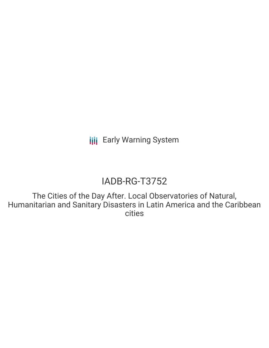**III** Early Warning System

# IADB-RG-T3752

The Cities of the Day After. Local Observatories of Natural, Humanitarian and Sanitary Disasters in Latin America and the Caribbean cities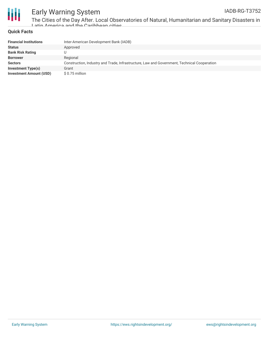

## Early Warning System

The Cities of the Day After. Local Observatories of Natural, Humanitarian and Sanitary Disasters in Latin America and the Caribbean cities

### **Quick Facts**

| <b>Financial Institutions</b>  | Inter-American Development Bank (IADB)                                                      |
|--------------------------------|---------------------------------------------------------------------------------------------|
| <b>Status</b>                  | Approved                                                                                    |
| <b>Bank Risk Rating</b>        |                                                                                             |
| <b>Borrower</b>                | Regional                                                                                    |
| <b>Sectors</b>                 | Construction, Industry and Trade, Infrastructure, Law and Government, Technical Cooperation |
| <b>Investment Type(s)</b>      | Grant                                                                                       |
| <b>Investment Amount (USD)</b> | \$ 0.75 million                                                                             |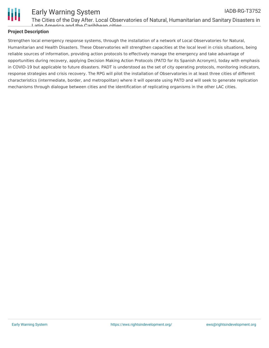

### Early Warning System

The Cities of the Day After. Local Observatories of Natural, Humanitarian and Sanitary Disasters in Latin America and the Caribbean cities

### **Project Description**

Strengthen local emergency response systems, through the installation of a network of Local Observatories for Natural, Humanitarian and Health Disasters. These Observatories will strengthen capacities at the local level in crisis situations, being reliable sources of information, providing action protocols to effectively manage the emergency and take advantage of opportunities during recovery, applying Decision Making Action Protocols (PATD for its Spanish Acronym), today with emphasis in COVID-19 but applicable to future disasters. PADT is understood as the set of city operating protocols, monitoring indicators, response strategies and crisis recovery. The RPG will pilot the installation of Observatories in at least three cities of different characteristics (intermediate, border, and metropolitan) where it will operate using PATD and will seek to generate replication mechanisms through dialogue between cities and the identification of replicating organisms in the other LAC cities.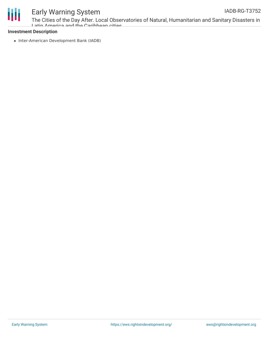



### Early Warning System

The Cities of the Day After. Local Observatories of Natural, Humanitarian and Sanitary Disasters in Latin America and the Caribbean cities

#### **Investment Description**

• Inter-American Development Bank (IADB)